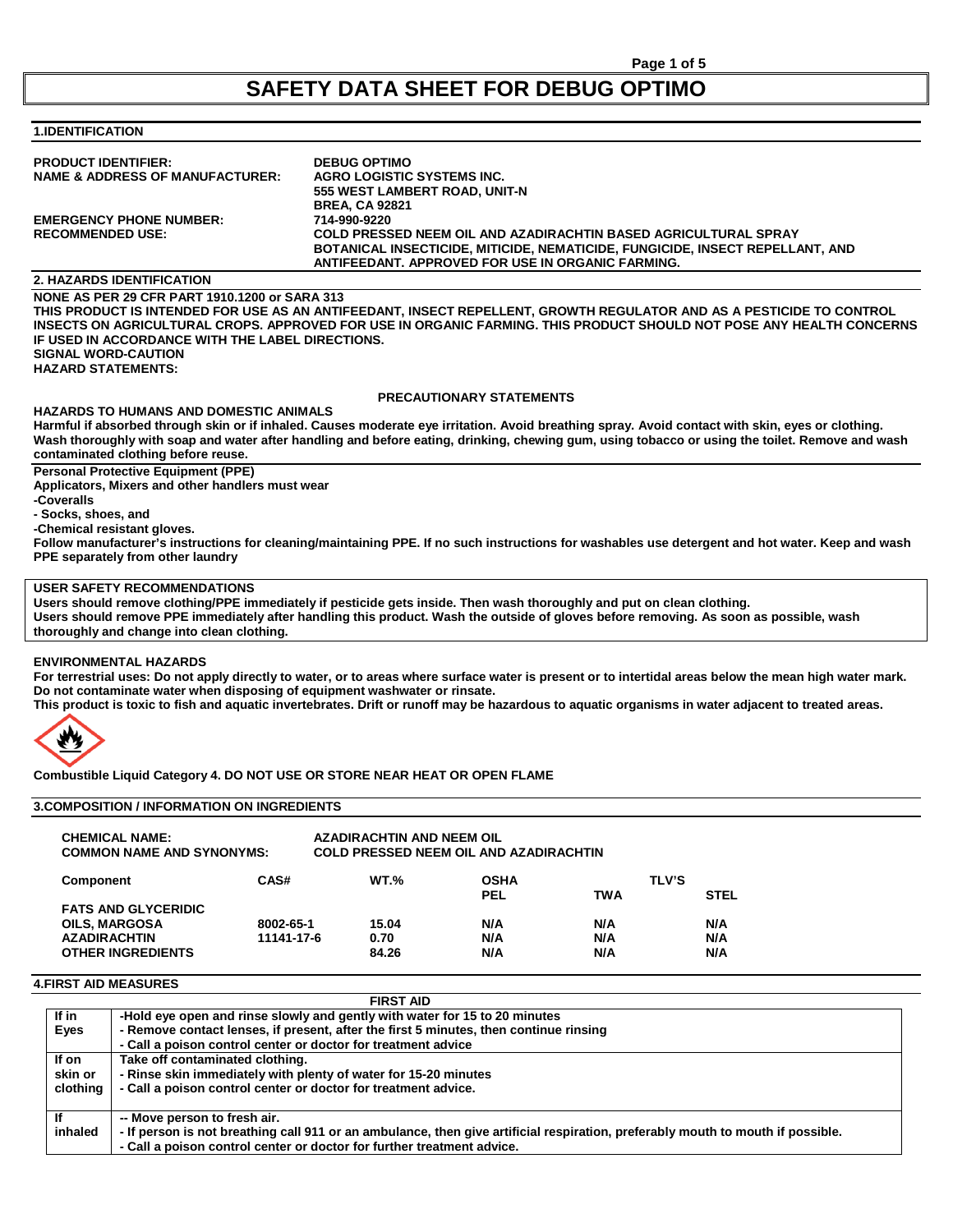# **SAFETY DATA SHEET FOR DEBUG OPTIMO**

# **1.IDENTIFICATION**

| <b>PRODUCT IDENTIFIER:</b>                 | <b>DEBUG OPTIMO</b>                                                           |
|--------------------------------------------|-------------------------------------------------------------------------------|
| <b>NAME &amp; ADDRESS OF MANUFACTURER:</b> | AGRO LOGISTIC SYSTEMS INC.                                                    |
|                                            | 555 WEST LAMBERT ROAD, UNIT-N                                                 |
|                                            | <b>BREA, CA 92821</b>                                                         |
| <b>EMERGENCY PHONE NUMBER:</b>             | 714-990-9220                                                                  |
| <b>RECOMMENDED USE:</b>                    | COLD PRESSED NEEM OIL AND AZADIRACHTIN BASED AGRICULTURAL SPRAY               |
|                                            | BOTANICAL INSECTICIDE, MITICIDE, NEMATICIDE, FUNGICIDE, INSECT REPELLANT, AND |
|                                            | ANTIFEEDANT. APPROVED FOR USE IN ORGANIC FARMING.                             |
|                                            |                                                                               |

# **2. HAZARDS IDENTIFICATION**

**NONE AS PER 29 CFR PART 1910.1200 or SARA 313 THIS PRODUCT IS INTENDED FOR USE AS AN ANTIFEEDANT, INSECT REPELLENT, GROWTH REGULATOR AND AS A PESTICIDE TO CONTROL INSECTS ON AGRICULTURAL CROPS. APPROVED FOR USE IN ORGANIC FARMING. THIS PRODUCT SHOULD NOT POSE ANY HEALTH CONCERNS IF USED IN ACCORDANCE WITH THE LABEL DIRECTIONS. SIGNAL WORD-CAUTION HAZARD STATEMENTS:** 

## **PRECAUTIONARY STATEMENTS**

**HAZARDS TO HUMANS AND DOMESTIC ANIMALS Harmful if absorbed through skin or if inhaled. Causes moderate eye irritation. Avoid breathing spray. Avoid contact with skin, eyes or clothing. Wash thoroughly with soap and water after handling and before eating, drinking, chewing gum, using tobacco or using the toilet. Remove and wash contaminated clothing before reuse.**

# **Personal Protective Equipment (PPE)**

**Applicators, Mixers and other handlers must wear**

**-Coveralls**

**- Socks, shoes, and** 

**-Chemical resistant gloves.**

**Follow manufacturer's instructions for cleaning/maintaining PPE. If no such instructions for washables use detergent and hot water. Keep and wash PPE separately from other laundry**

## **USER SAFETY RECOMMENDATIONS**

**Users should remove clothing/PPE immediately if pesticide gets inside. Then wash thoroughly and put on clean clothing. Users should remove PPE immediately after handling this product. Wash the outside of gloves before removing. As soon as possible, wash thoroughly and change into clean clothing.**

#### **ENVIRONMENTAL HAZARDS**

**For terrestrial uses: Do not apply directly to water, or to areas where surface water is present or to intertidal areas below the mean high water mark. Do not contaminate water when disposing of equipment washwater or rinsate.**

**This product is toxic to fish and aquatic invertebrates. Drift or runoff may be hazardous to aquatic organisms in water adjacent to treated areas.**



**Combustible Liquid Category 4. DO NOT USE OR STORE NEAR HEAT OR OPEN FLAME**

# **3.COMPOSITION / INFORMATION ON INGREDIENTS**

| <b>CHEMICAL NAME:</b><br><b>COMMON NAME AND SYNONYMS:</b> |            | <b>AZADIRACHTIN AND NEEM OIL</b> | <b>COLD PRESSED NEEM OIL AND AZADIRACHTIN</b> |            |                             |
|-----------------------------------------------------------|------------|----------------------------------|-----------------------------------------------|------------|-----------------------------|
| <b>Component</b>                                          | CAS#       | <b>WT.%</b>                      | <b>OSHA</b><br>PEL                            | <b>TWA</b> | <b>TLV'S</b><br><b>STEL</b> |
| <b>FATS AND GLYCERIDIC</b>                                |            |                                  |                                               |            |                             |
| <b>OILS. MARGOSA</b>                                      | 8002-65-1  | 15.04                            | N/A                                           | N/A        | N/A                         |
| <b>AZADIRACHTIN</b>                                       | 11141-17-6 | 0.70                             | N/A                                           | N/A        | N/A                         |
| <b>OTHER INGREDIENTS</b>                                  |            | 84.26                            | N/A                                           | N/A        | N/A                         |

# **4.FIRST AID MEASURES**

|          | <b>FIRST AID</b>                                                                                                                |
|----------|---------------------------------------------------------------------------------------------------------------------------------|
| lf in    | -Hold eye open and rinse slowly and gently with water for 15 to 20 minutes                                                      |
| Eyes     | - Remove contact lenses, if present, after the first 5 minutes, then continue rinsing                                           |
|          | - Call a poison control center or doctor for treatment advice                                                                   |
| If on    | Take off contaminated clothing.                                                                                                 |
| skin or  | - Rinse skin immediately with plenty of water for 15-20 minutes                                                                 |
| clothina | - Call a poison control center or doctor for treatment advice.                                                                  |
|          | -- Move person to fresh air.                                                                                                    |
| inhaled  | - If person is not breathing call 911 or an ambulance, then give artificial respiration, preferably mouth to mouth if possible. |
|          | - Call a poison control center or doctor for further treatment advice.                                                          |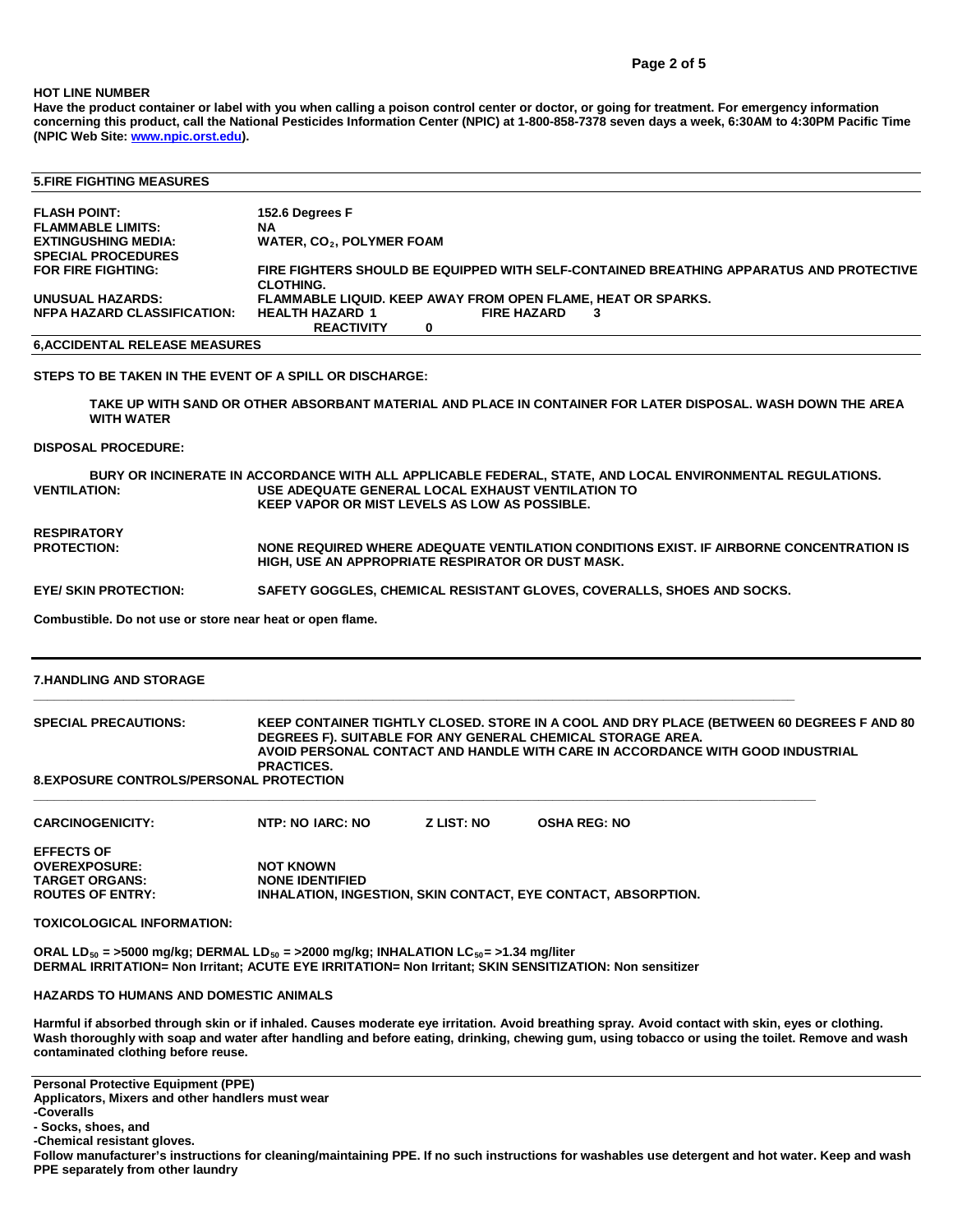#### **HOT LINE NUMBER**

**Have the product container or label with you when calling a poison control center or doctor, or going for treatment. For emergency information concerning this product, call the National Pesticides Information Center (NPIC) at 1-800-858-7378 seven days a week, 6:30AM to 4:30PM Pacific Time (NPIC Web Site[: www.npic.orst.edu\)](http://www.npic.orst.edu/).**

| <b>5. FIRE FIGHTING MEASURES</b>     |                                                                                                             |
|--------------------------------------|-------------------------------------------------------------------------------------------------------------|
| <b>FLASH POINT:</b>                  | 152.6 Degrees F                                                                                             |
| <b>FLAMMABLE LIMITS:</b>             | ΝA                                                                                                          |
| <b>EXTINGUSHING MEDIA:</b>           | <b>WATER, CO<sub>2</sub>, POLYMER FOAM</b>                                                                  |
| <b>SPECIAL PROCEDURES</b>            |                                                                                                             |
| FOR FIRE FIGHTING:                   | FIRE FIGHTERS SHOULD BE EQUIPPED WITH SELF-CONTAINED BREATHING APPARATUS AND PROTECTIVE<br><b>CLOTHING.</b> |
| <b>UNUSUAL HAZARDS:</b>              | <b>FLAMMABLE LIQUID. KEEP AWAY FROM OPEN FLAME. HEAT OR SPARKS.</b>                                         |
| <b>NFPA HAZARD CLASSIFICATION:</b>   | <b>FIRE HAZARD</b><br><b>HEALTH HAZARD 1</b><br>3<br><b>REACTIVITY</b><br>0                                 |
| <b>6.ACCIDENTAL RELEASE MEASURES</b> |                                                                                                             |
|                                      |                                                                                                             |

**STEPS TO BE TAKEN IN THE EVENT OF A SPILL OR DISCHARGE:**

**TAKE UP WITH SAND OR OTHER ABSORBANT MATERIAL AND PLACE IN CONTAINER FOR LATER DISPOSAL. WASH DOWN THE AREA WITH WATER**

#### **DISPOSAL PROCEDURE:**

BURY OR INCINERATE IN ACCORDANCE WITH ALL APPLICABLE FEDERAL, STATE, AND LOCAL ENVIRONMENTAL REGULATIONS.<br>VENTILATION: USE ADEQUATE GENERAL LOCAL EXHAUST VENTILATION TO **VENTILATION: USE ADEQUATE GENERAL LOCAL EXHAUST VENTILATION TO KEEP VAPOR OR MIST LEVELS AS LOW AS POSSIBLE.**

**RESPIRATORY** 

**HIGH, USE AN APPROPRIATE RESPIRATOR OR DUST MASK.**

**NONE REQUIRED WHERE ADEQUATE VENTILATION CONDITIONS EXIST. IF AIRBORNE CONCENTRATION IS** 

**EYE/ SKIN PROTECTION: SAFETY GOGGLES, CHEMICAL RESISTANT GLOVES, COVERALLS, SHOES AND SOCKS.**

**\_\_\_\_\_\_\_\_\_\_\_\_\_\_\_\_\_\_\_\_\_\_\_\_\_\_\_\_\_\_\_\_\_\_\_\_\_\_\_\_\_\_\_\_\_\_\_\_\_\_\_\_\_\_\_\_\_\_\_\_\_\_\_\_\_\_\_\_\_\_\_\_\_\_\_\_\_\_\_\_\_\_\_\_\_\_\_\_\_\_\_\_\_\_\_\_\_\_\_\_\_\_\_\_\_\_\_\_\_\_**

**Combustible. Do not use or store near heat or open flame.**

#### **7.HANDLING AND STORAGE**

#### **SPECIAL PRECAUTIONS: KEEP CONTAINER TIGHTLY CLOSED. STORE IN A COOL AND DRY PLACE (BETWEEN 60 DEGREES F AND 80 DEGREES F). SUITABLE FOR ANY GENERAL CHEMICAL STORAGE AREA. AVOID PERSONAL CONTACT AND HANDLE WITH CARE IN ACCORDANCE WITH GOOD INDUSTRIAL PRACTICES. 8.EXPOSURE CONTROLS/PERSONAL PROTECTION**

**\_\_\_\_\_\_\_\_\_\_\_\_\_\_\_\_\_\_\_\_\_\_\_\_\_\_\_\_\_\_\_\_\_\_\_\_\_\_\_\_\_\_\_\_\_\_\_\_\_\_\_\_\_\_\_\_\_\_\_\_\_\_\_\_\_\_\_\_\_\_\_\_\_\_\_\_\_\_\_\_\_\_\_\_\_\_\_\_\_\_\_\_\_\_\_\_\_\_\_\_\_\_\_\_\_\_\_\_\_\_\_\_\_**

| <b>CARCINOGENICITY:</b> | NTP: NO IARC: NO       | <b>Z LIST: NO</b> | <b>OSHA REG: NO</b>                                                  |
|-------------------------|------------------------|-------------------|----------------------------------------------------------------------|
| <b>EFFECTS OF</b>       |                        |                   |                                                                      |
| <b>OVEREXPOSURE:</b>    | <b>NOT KNOWN</b>       |                   |                                                                      |
| TARGET ORGANS:          | <b>NONE IDENTIFIED</b> |                   |                                                                      |
| <b>ROUTES OF ENTRY:</b> |                        |                   | <b>INHALATION, INGESTION, SKIN CONTACT, EYE CONTACT, ABSORPTION.</b> |

**TOXICOLOGICAL INFORMATION:**

**ORAL LD50 = >5000 mg/kg; DERMAL LD50 = >2000 mg/kg; INHALATION LC50= >1.34 mg/liter DERMAL IRRITATION= Non Irritant; ACUTE EYE IRRITATION= Non Irritant; SKIN SENSITIZATION: Non sensitizer**

**HAZARDS TO HUMANS AND DOMESTIC ANIMALS**

**Harmful if absorbed through skin or if inhaled. Causes moderate eye irritation. Avoid breathing spray. Avoid contact with skin, eyes or clothing. Wash thoroughly with soap and water after handling and before eating, drinking, chewing gum, using tobacco or using the toilet. Remove and wash contaminated clothing before reuse.**

**Personal Protective Equipment (PPE)**

**Applicators, Mixers and other handlers must wear**

**- Socks, shoes, and** 

**-Chemical resistant gloves.**

**Follow manufacturer's instructions for cleaning/maintaining PPE. If no such instructions for washables use detergent and hot water. Keep and wash PPE separately from other laundry**

**<sup>-</sup>Coveralls**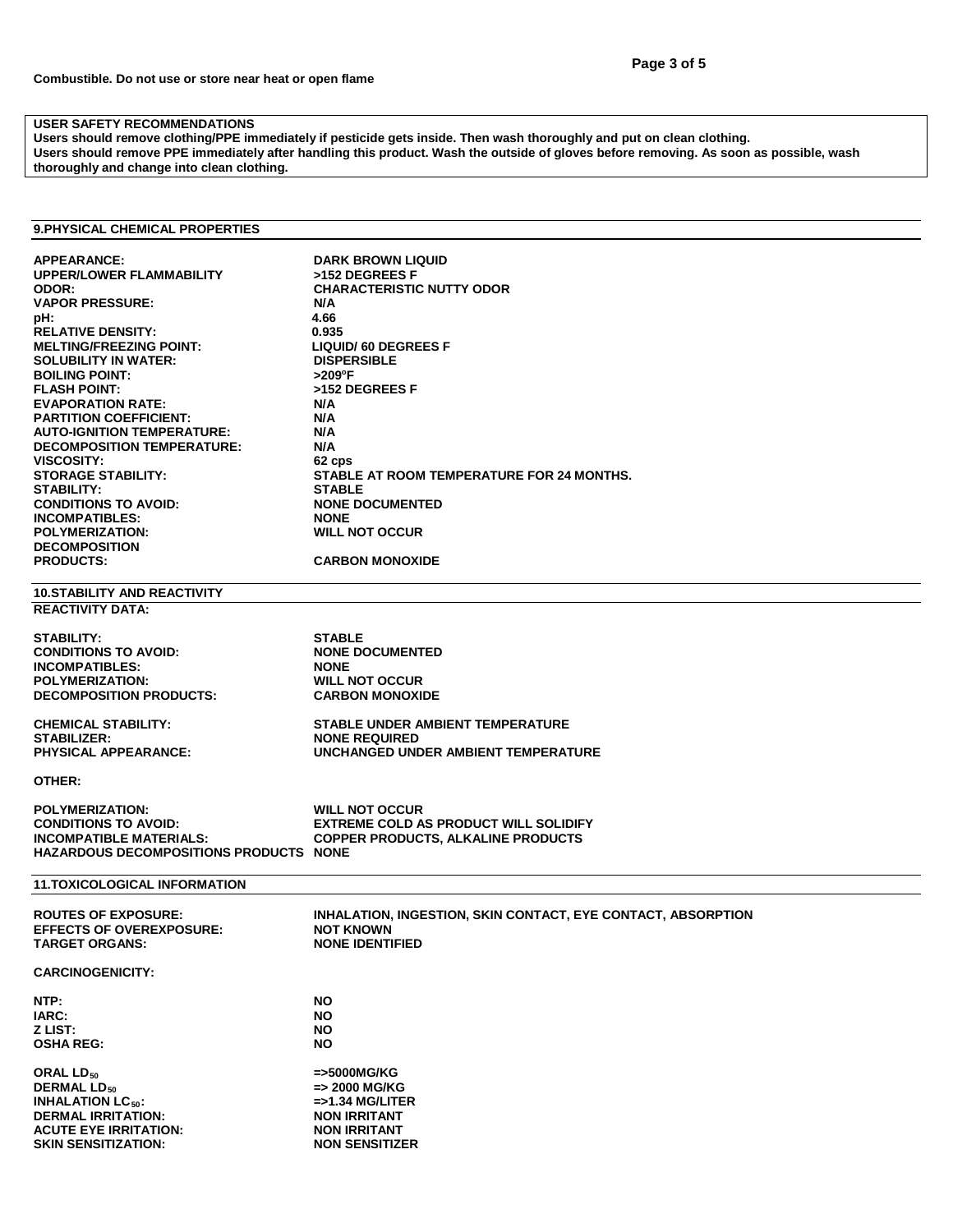# **USER SAFETY RECOMMENDATIONS**

**Users should remove clothing/PPE immediately if pesticide gets inside. Then wash thoroughly and put on clean clothing. Users should remove PPE immediately after handling this product. Wash the outside of gloves before removing. As soon as possible, wash thoroughly and change into clean clothing.**

## **9.PHYSICAL CHEMICAL PROPERTIES**

| <b>APPEARANCE:</b><br><b>UPPER/LOWER FLAMMABILITY</b><br>ODOR:<br><b>VAPOR PRESSURE:</b><br>pH:<br><b>RELATIVE DENSITY:</b><br><b>MELTING/FREEZING POINT:</b><br><b>SOLUBILITY IN WATER:</b><br><b>BOILING POINT:</b><br><b>FLASH POINT:</b><br><b>EVAPORATION RATE:</b><br><b>PARTITION COEFFICIENT:</b><br><b>AUTO-IGNITION TEMPERATURE:</b><br><b>DECOMPOSITION TEMPERATURE:</b><br><b>VISCOSITY:</b><br><b>STORAGE STABILITY:</b><br><b>STABILITY:</b><br><b>CONDITIONS TO AVOID:</b><br><b>INCOMPATIBLES:</b><br><b>POLYMERIZATION:</b><br><b>DECOMPOSITION</b><br><b>PRODUCTS:</b> | <b>DARK BROWN LIQUID</b><br>>152 DEGREES F<br><b>CHARACTERISTIC NUTTY ODOR</b><br>N/A<br>4.66<br>0.935<br><b>LIQUID/ 60 DEGREES F</b><br><b>DISPERSIBLE</b><br>>209°F<br>>152 DEGREES F<br>N/A<br>N/A<br>N/A<br>N/A<br>62 cps<br>STABLE AT ROOM TEMPERATURE FOR 24 MONTHS.<br><b>STABLE</b><br><b>NONE DOCUMENTED</b><br><b>NONE</b><br><b>WILL NOT OCCUR</b><br><b>CARBON MONOXIDE</b> |
|------------------------------------------------------------------------------------------------------------------------------------------------------------------------------------------------------------------------------------------------------------------------------------------------------------------------------------------------------------------------------------------------------------------------------------------------------------------------------------------------------------------------------------------------------------------------------------------|-----------------------------------------------------------------------------------------------------------------------------------------------------------------------------------------------------------------------------------------------------------------------------------------------------------------------------------------------------------------------------------------|
| <b>10.STABILITY AND REACTIVITY</b>                                                                                                                                                                                                                                                                                                                                                                                                                                                                                                                                                       |                                                                                                                                                                                                                                                                                                                                                                                         |
| <b>REACTIVITY DATA:</b>                                                                                                                                                                                                                                                                                                                                                                                                                                                                                                                                                                  |                                                                                                                                                                                                                                                                                                                                                                                         |
| <b>STABILITY:</b><br><b>CONDITIONS TO AVOID:</b><br><b>INCOMPATIBLES:</b><br><b>POLYMERIZATION:</b><br><b>DECOMPOSITION PRODUCTS:</b>                                                                                                                                                                                                                                                                                                                                                                                                                                                    | <b>STABLE</b><br><b>NONE DOCUMENTED</b><br><b>NONE</b><br><b>WILL NOT OCCUR</b><br><b>CARBON MONOXIDE</b>                                                                                                                                                                                                                                                                               |
| <b>CHEMICAL STABILITY:</b>                                                                                                                                                                                                                                                                                                                                                                                                                                                                                                                                                               | <b>STABLE UNDER AMBIENT TEMPERATURE</b>                                                                                                                                                                                                                                                                                                                                                 |
| <b>STABILIZER:</b><br>PHYSICAL APPEARANCE:                                                                                                                                                                                                                                                                                                                                                                                                                                                                                                                                               | <b>NONE REQUIRED</b><br>UNCHANGED UNDER AMBIENT TEMPERATURE                                                                                                                                                                                                                                                                                                                             |
| OTHER:                                                                                                                                                                                                                                                                                                                                                                                                                                                                                                                                                                                   |                                                                                                                                                                                                                                                                                                                                                                                         |
| <b>POLYMERIZATION:</b><br><b>CONDITIONS TO AVOID:</b><br><b>INCOMPATIBLE MATERIALS:</b><br><b>HAZARDOUS DECOMPOSITIONS PRODUCTS NONE</b>                                                                                                                                                                                                                                                                                                                                                                                                                                                 | <b>WILL NOT OCCUR</b><br><b>EXTREME COLD AS PRODUCT WILL SOLIDIFY</b><br><b>COPPER PRODUCTS, ALKALINE PRODUCTS</b>                                                                                                                                                                                                                                                                      |
| <b>11.TOXICOLOGICAL INFORMATION</b>                                                                                                                                                                                                                                                                                                                                                                                                                                                                                                                                                      |                                                                                                                                                                                                                                                                                                                                                                                         |
| <b>ROUTES OF EXPOSURE:</b><br><b>EFFECTS OF OVEREXPOSURE:</b><br><b>TARGET ORGANS:</b>                                                                                                                                                                                                                                                                                                                                                                                                                                                                                                   | INHALATION, INGESTION, SKIN CONTACT, EYE CONTACT, ABSORPTION<br><b>NOT KNOWN</b><br><b>NONE IDENTIFIED</b>                                                                                                                                                                                                                                                                              |
| <b>CARCINOGENICITY:</b>                                                                                                                                                                                                                                                                                                                                                                                                                                                                                                                                                                  |                                                                                                                                                                                                                                                                                                                                                                                         |
| NTP:<br>IARC:                                                                                                                                                                                                                                                                                                                                                                                                                                                                                                                                                                            | NO<br>NO.                                                                                                                                                                                                                                                                                                                                                                               |
| Z LIST:<br><b>OSHA REG:</b>                                                                                                                                                                                                                                                                                                                                                                                                                                                                                                                                                              | <b>NO</b><br><b>NO</b>                                                                                                                                                                                                                                                                                                                                                                  |
| ORAL LD <sub>50</sub><br><b>DERMAL LD<sub>50</sub></b><br><b>INHALATION LC<sub>50</sub>:</b><br><b>DERMAL IRRITATION:</b><br><b>ACUTE EYE IRRITATION:</b><br><b>SKIN SENSITIZATION:</b>                                                                                                                                                                                                                                                                                                                                                                                                  | =>5000MG/KG<br>=> 2000 MG/KG<br>$=$ >1.34 MG/LITER<br><b>NON IRRITANT</b><br><b>NON IRRITANT</b><br><b>NON SENSITIZER</b>                                                                                                                                                                                                                                                               |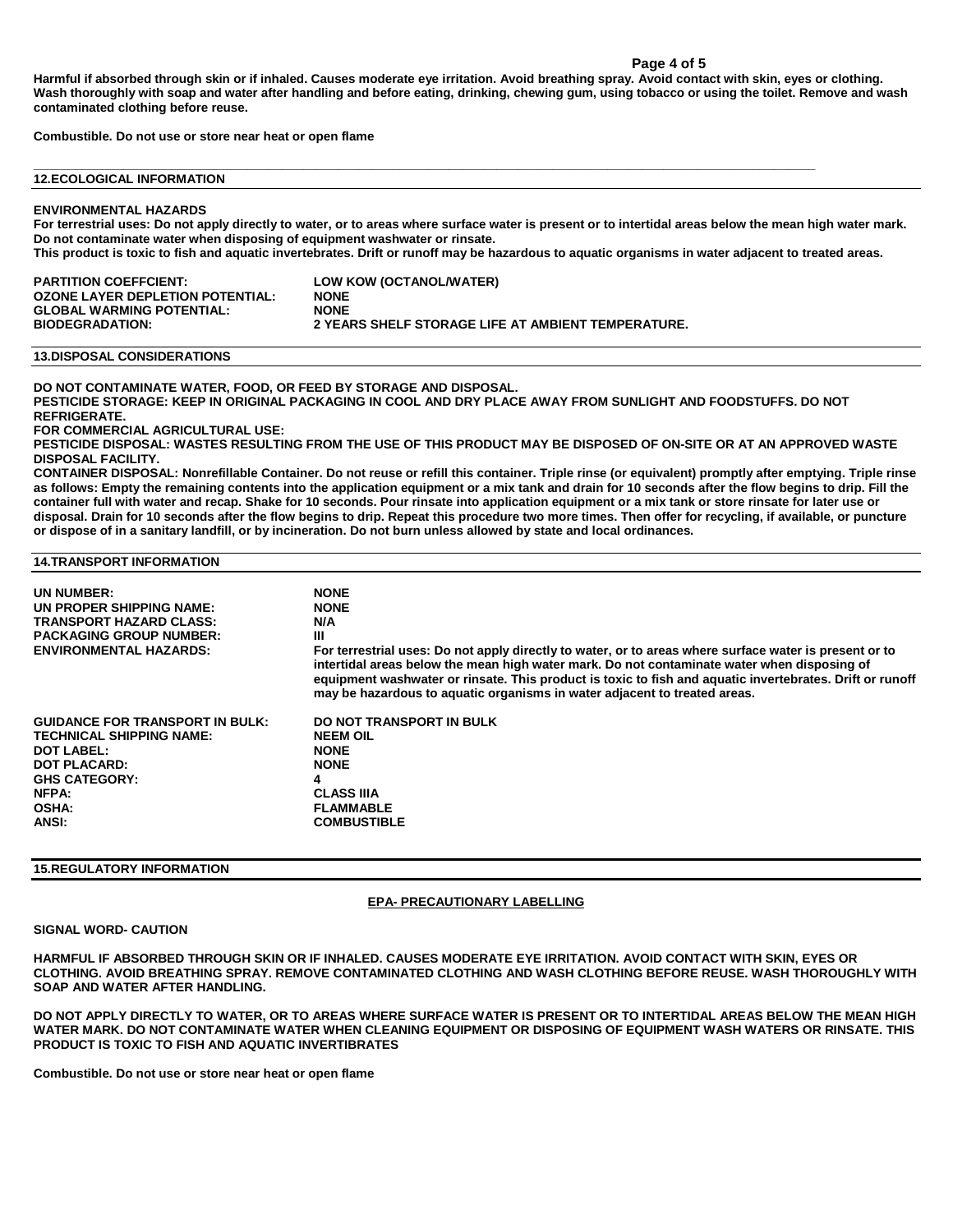#### **Page 4 of 5**

**Harmful if absorbed through skin or if inhaled. Causes moderate eye irritation. Avoid breathing spray. Avoid contact with skin, eyes or clothing. Wash thoroughly with soap and water after handling and before eating, drinking, chewing gum, using tobacco or using the toilet. Remove and wash contaminated clothing before reuse.**

**Combustible. Do not use or store near heat or open flame**

**\_\_\_\_\_\_\_\_\_\_\_\_\_\_\_\_\_\_\_\_\_\_\_\_\_\_\_\_\_\_\_\_\_\_\_\_\_\_\_\_\_\_\_\_\_\_\_\_\_\_\_\_\_\_\_\_\_\_\_\_\_\_\_\_\_\_\_\_\_\_\_\_\_\_\_\_\_\_\_\_\_\_\_\_\_\_\_\_\_\_\_\_\_\_\_\_\_\_\_\_\_\_\_\_\_\_\_\_\_\_\_\_\_ 12.ECOLOGICAL INFORMATION**

#### **ENVIRONMENTAL HAZARDS**

**For terrestrial uses: Do not apply directly to water, or to areas where surface water is present or to intertidal areas below the mean high water mark. Do not contaminate water when disposing of equipment washwater or rinsate.**

**This product is toxic to fish and aquatic invertebrates. Drift or runoff may be hazardous to aquatic organisms in water adjacent to treated areas.**

| <b>PARTITION COEFFCIENT:</b>     | LOW KOW (OCTANOL/WATER)                            |
|----------------------------------|----------------------------------------------------|
| OZONE LAYER DEPLETION POTENTIAL: | <b>NONE</b>                                        |
| GLOBAL WARMING POTENTIAL:        | <b>NONE</b>                                        |
| <b>BIODEGRADATION:</b>           | 2 YEARS SHELF STORAGE LIFE AT AMBIENT TEMPERATURE. |

#### **13.DISPOSAL CONSIDERATIONS**

**DO NOT CONTAMINATE WATER, FOOD, OR FEED BY STORAGE AND DISPOSAL.**

**PESTICIDE STORAGE: KEEP IN ORIGINAL PACKAGING IN COOL AND DRY PLACE AWAY FROM SUNLIGHT AND FOODSTUFFS. DO NOT REFRIGERATE.**

**FOR COMMERCIAL AGRICULTURAL USE:**

**PESTICIDE DISPOSAL: WASTES RESULTING FROM THE USE OF THIS PRODUCT MAY BE DISPOSED OF ON-SITE OR AT AN APPROVED WASTE DISPOSAL FACILITY.**

**CONTAINER DISPOSAL: Nonrefillable Container. Do not reuse or refill this container. Triple rinse (or equivalent) promptly after emptying. Triple rinse as follows: Empty the remaining contents into the application equipment or a mix tank and drain for 10 seconds after the flow begins to drip. Fill the container full with water and recap. Shake for 10 seconds. Pour rinsate into application equipment or a mix tank or store rinsate for later use or disposal. Drain for 10 seconds after the flow begins to drip. Repeat this procedure two more times. Then offer for recycling, if available, or puncture or dispose of in a sanitary landfill, or by incineration. Do not burn unless allowed by state and local ordinances.**

## **14.TRANSPORT INFORMATION**

| UN NUMBER:<br>UN PROPER SHIPPING NAME:<br><b>TRANSPORT HAZARD CLASS:</b><br><b>PACKAGING GROUP NUMBER:</b><br><b>ENVIRONMENTAL HAZARDS:</b>                              | <b>NONE</b><br><b>NONE</b><br>N/A<br>Ш<br>For terrestrial uses: Do not apply directly to water, or to areas where surface water is present or to<br>intertidal areas below the mean high water mark. Do not contaminate water when disposing of<br>equipment washwater or rinsate. This product is toxic to fish and aquatic invertebrates. Drift or runoff<br>may be hazardous to aquatic organisms in water adjacent to treated areas. |
|--------------------------------------------------------------------------------------------------------------------------------------------------------------------------|------------------------------------------------------------------------------------------------------------------------------------------------------------------------------------------------------------------------------------------------------------------------------------------------------------------------------------------------------------------------------------------------------------------------------------------|
| <b>GUIDANCE FOR TRANSPORT IN BULK:</b><br><b>TECHNICAL SHIPPING NAME:</b><br>DOT LABEL:<br><b>DOT PLACARD:</b><br><b>GHS CATEGORY:</b><br>NFPA:<br><b>OSHA:</b><br>ANSI: | DO NOT TRANSPORT IN BULK<br><b>NEEM OIL</b><br><b>NONE</b><br><b>NONE</b><br>4<br><b>CLASS IIIA</b><br><b>FLAMMABLE</b><br><b>COMBUSTIBLE</b>                                                                                                                                                                                                                                                                                            |

#### **15.REGULATORY INFORMATION**

#### **EPA- PRECAUTIONARY LABELLING**

#### **SIGNAL WORD- CAUTION**

**HARMFUL IF ABSORBED THROUGH SKIN OR IF INHALED. CAUSES MODERATE EYE IRRITATION. AVOID CONTACT WITH SKIN, EYES OR CLOTHING. AVOID BREATHING SPRAY. REMOVE CONTAMINATED CLOTHING AND WASH CLOTHING BEFORE REUSE. WASH THOROUGHLY WITH SOAP AND WATER AFTER HANDLING.**

**DO NOT APPLY DIRECTLY TO WATER, OR TO AREAS WHERE SURFACE WATER IS PRESENT OR TO INTERTIDAL AREAS BELOW THE MEAN HIGH WATER MARK. DO NOT CONTAMINATE WATER WHEN CLEANING EQUIPMENT OR DISPOSING OF EQUIPMENT WASH WATERS OR RINSATE. THIS PRODUCT IS TOXIC TO FISH AND AQUATIC INVERTIBRATES**

**Combustible. Do not use or store near heat or open flame**